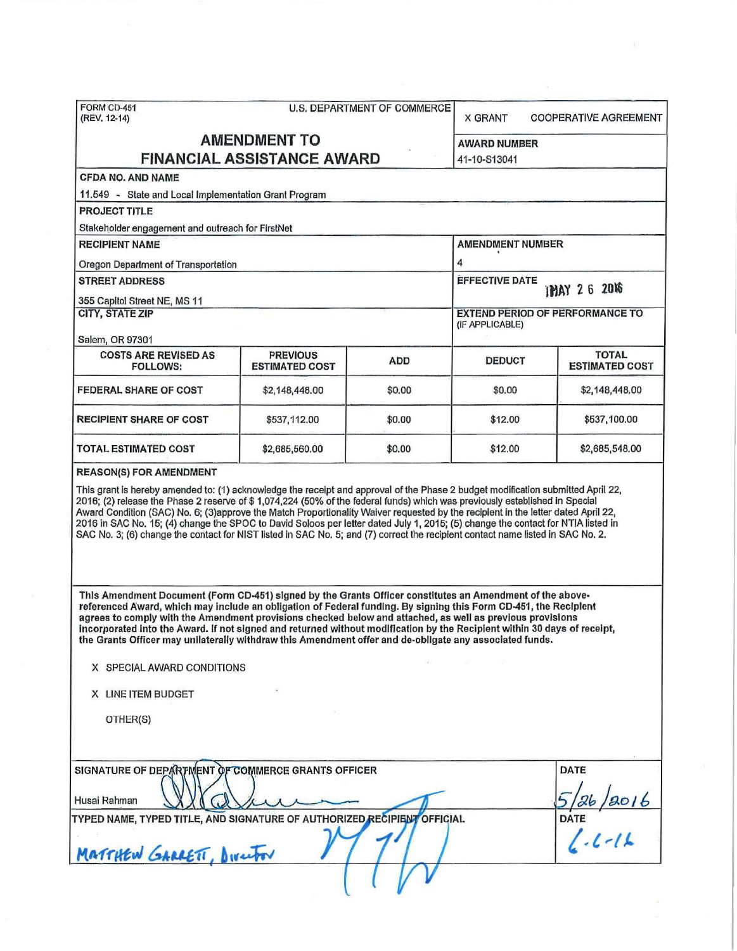|                                                                                                                                                                                                                                                                                                                                                                                                                                                                                                                                                                                                                                                   | <b>AMENDMENT TO</b><br><b>FINANCIAL ASSISTANCE AWARD</b>                                                                         |                                              |                         |                                                  |  |
|---------------------------------------------------------------------------------------------------------------------------------------------------------------------------------------------------------------------------------------------------------------------------------------------------------------------------------------------------------------------------------------------------------------------------------------------------------------------------------------------------------------------------------------------------------------------------------------------------------------------------------------------------|----------------------------------------------------------------------------------------------------------------------------------|----------------------------------------------|-------------------------|--------------------------------------------------|--|
|                                                                                                                                                                                                                                                                                                                                                                                                                                                                                                                                                                                                                                                   | 41-10-S13041                                                                                                                     |                                              |                         |                                                  |  |
| <b>CFDA NO. AND NAME</b>                                                                                                                                                                                                                                                                                                                                                                                                                                                                                                                                                                                                                          |                                                                                                                                  |                                              |                         |                                                  |  |
| 11.549 - State and Local Implementation Grant Program                                                                                                                                                                                                                                                                                                                                                                                                                                                                                                                                                                                             |                                                                                                                                  |                                              |                         |                                                  |  |
| <b>PROJECT TITLE</b>                                                                                                                                                                                                                                                                                                                                                                                                                                                                                                                                                                                                                              |                                                                                                                                  |                                              |                         |                                                  |  |
| Stakeholder engagement and outreach for FirstNet<br><b>RECIPIENT NAME</b>                                                                                                                                                                                                                                                                                                                                                                                                                                                                                                                                                                         |                                                                                                                                  |                                              |                         |                                                  |  |
|                                                                                                                                                                                                                                                                                                                                                                                                                                                                                                                                                                                                                                                   |                                                                                                                                  |                                              | <b>AMENDMENT NUMBER</b> |                                                  |  |
| Oregon Department of Transportation                                                                                                                                                                                                                                                                                                                                                                                                                                                                                                                                                                                                               |                                                                                                                                  |                                              | 4                       |                                                  |  |
| <b>STREET ADDRESS</b>                                                                                                                                                                                                                                                                                                                                                                                                                                                                                                                                                                                                                             |                                                                                                                                  | <b>EFFECTIVE DATE</b><br><b>IMAY 26 2016</b> |                         |                                                  |  |
| 355 Capitol Street NE, MS 11                                                                                                                                                                                                                                                                                                                                                                                                                                                                                                                                                                                                                      |                                                                                                                                  |                                              |                         |                                                  |  |
| <b>CITY, STATE ZIP</b>                                                                                                                                                                                                                                                                                                                                                                                                                                                                                                                                                                                                                            |                                                                                                                                  |                                              | (IF APPLICABLE)         | <b>EXTEND PERIOD OF PERFORMANCE TO</b>           |  |
| Salem, OR 97301                                                                                                                                                                                                                                                                                                                                                                                                                                                                                                                                                                                                                                   |                                                                                                                                  |                                              |                         |                                                  |  |
| <b>COSTS ARE REVISED AS</b><br><b>FOLLOWS:</b>                                                                                                                                                                                                                                                                                                                                                                                                                                                                                                                                                                                                    | <b>PREVIOUS</b><br><b>ESTIMATED COST</b>                                                                                         | <b>ADD</b>                                   | <b>DEDUCT</b>           | <b>TOTAL</b><br><b>ESTIMATED COST</b>            |  |
| FEDERAL SHARE OF COST                                                                                                                                                                                                                                                                                                                                                                                                                                                                                                                                                                                                                             | \$2,148,448.00                                                                                                                   | \$0.00                                       | \$0.00                  | \$2,148,448.00                                   |  |
| <b>RECIPIENT SHARE OF COST</b>                                                                                                                                                                                                                                                                                                                                                                                                                                                                                                                                                                                                                    | \$537,112.00                                                                                                                     | \$0.00                                       | \$12.00                 | \$537,100.00                                     |  |
| TOTAL ESTIMATED COST                                                                                                                                                                                                                                                                                                                                                                                                                                                                                                                                                                                                                              | \$2,685,560.00                                                                                                                   | \$0.00                                       | \$12.00                 | \$2,685,548.00                                   |  |
|                                                                                                                                                                                                                                                                                                                                                                                                                                                                                                                                                                                                                                                   | This grant is hereby amended to: (1) acknowledge the receipt and approval of the Phase 2 budget modification submitted April 22, |                                              |                         |                                                  |  |
| 2016; (2) release the Phase 2 reserve of \$ 1,074,224 (50% of the federal funds) which was previously established in Special<br>Award Condition (SAC) No. 6; (3)approve the Match Proportionality Waiver requested by the recipient in the letter dated April 22,<br>2016 in SAC No. 15; (4) change the SPOC to David Soloos per letter dated July 1, 2015; (5) change the contact for NTIA listed in<br>SAC No. 3; (6) change the contact for NIST listed in SAC No. 5; and (7) correct the recipient contact name listed in SAC No. 2.                                                                                                          |                                                                                                                                  |                                              |                         |                                                  |  |
| This Amendment Document (Form CD-451) signed by the Grants Officer constitutes an Amendment of the above-<br>referenced Award, which may include an obligation of Federal funding. By signing this Form CD-451, the Reciplent<br>agrees to comply with the Amendment provisions checked below and attached, as well as previous provisions<br>incorporated into the Award. If not signed and returned without modification by the Recipient within 30 days of receipt,<br>the Grants Officer may unilaterally withdraw this Amendment offer and de-obligate any associated funds.<br>X SPECIAL AWARD CONDITIONS<br>X LINE ITEM BUDGET<br>OTHER(S) |                                                                                                                                  |                                              |                         |                                                  |  |
|                                                                                                                                                                                                                                                                                                                                                                                                                                                                                                                                                                                                                                                   |                                                                                                                                  |                                              |                         |                                                  |  |
| SIGNATURE OF DEPARTMENT OF COMMERCE GRANTS OFFICER<br>Husai Rahman                                                                                                                                                                                                                                                                                                                                                                                                                                                                                                                                                                                |                                                                                                                                  |                                              |                         | DATE                                             |  |
| TYPED NAME, TYPED TITLE, AND SIGNATURE OF AUTHORIZED RECIPIENT OFFICIAL<br>MATTHEW GARRETT, DIVENTON                                                                                                                                                                                                                                                                                                                                                                                                                                                                                                                                              |                                                                                                                                  |                                              |                         | $\frac{5/26}{20}$<br>DATE<br>$\left( -16\right)$ |  |

 $\sim 10^{-10}$  and  $\sim 10^{-10}$